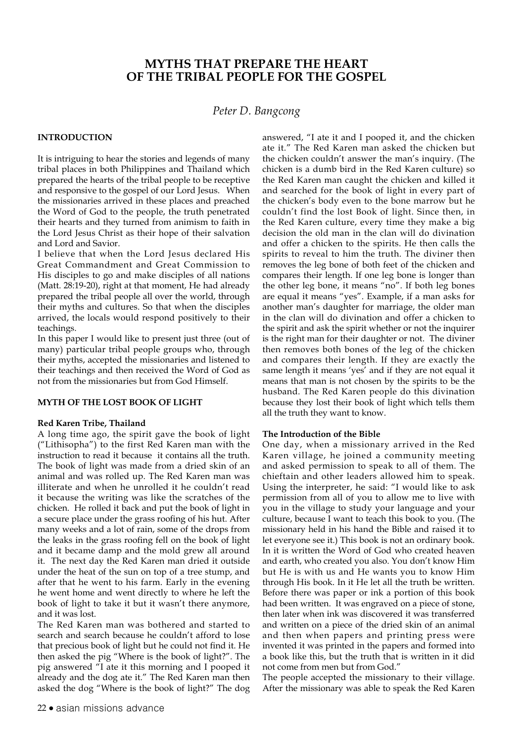# **MYTHS THAT PREPARE THE HEART OF THE TRIBAL PEOPLE FOR THE GOSPEL**

## *Peter D. Bangcong*

### **INTRODUCTION**

It is intriguing to hear the stories and legends of many tribal places in both Philippines and Thailand which prepared the hearts of the tribal people to be receptive and responsive to the gospel of our Lord Jesus. When the missionaries arrived in these places and preached the Word of God to the people, the truth penetrated their hearts and they turned from animism to faith in the Lord Jesus Christ as their hope of their salvation and Lord and Savior.

I believe that when the Lord Jesus declared His Great Commandment and Great Commission to His disciples to go and make disciples of all nations (Matt. 28:19-20), right at that moment, He had already prepared the tribal people all over the world, through their myths and cultures. So that when the disciples arrived, the locals would respond positively to their teachings.

In this paper I would like to present just three (out of many) particular tribal people groups who, through their myths, accepted the missionaries and listened to their teachings and then received the Word of God as not from the missionaries but from God Himself.

### **MYTH OF THE LOST BOOK OF LIGHT**

#### **Red Karen Tribe, Thailand**

A long time ago, the spirit gave the book of light ("Lithisopha") to the first Red Karen man with the instruction to read it because it contains all the truth. The book of light was made from a dried skin of an animal and was rolled up. The Red Karen man was illiterate and when he unrolled it he couldn't read it because the writing was like the scratches of the chicken. He rolled it back and put the book of light in a secure place under the grass roofing of his hut. After many weeks and a lot of rain, some of the drops from the leaks in the grass roofing fell on the book of light and it became damp and the mold grew all around it. The next day the Red Karen man dried it outside under the heat of the sun on top of a tree stump, and after that he went to his farm. Early in the evening he went home and went directly to where he left the book of light to take it but it wasn't there anymore, and it was lost.

The Red Karen man was bothered and started to search and search because he couldn't afford to lose that precious book of light but he could not find it. He then asked the pig "Where is the book of light?". The pig answered "I ate it this morning and I pooped it already and the dog ate it." The Red Karen man then asked the dog "Where is the book of light?" The dog

answered, "I ate it and I pooped it, and the chicken ate it." The Red Karen man asked the chicken but the chicken couldn't answer the man's inquiry. (The chicken is a dumb bird in the Red Karen culture) so the Red Karen man caught the chicken and killed it and searched for the book of light in every part of the chicken's body even to the bone marrow but he couldn't find the lost Book of light. Since then, in the Red Karen culture, every time they make a big decision the old man in the clan will do divination and offer a chicken to the spirits. He then calls the spirits to reveal to him the truth. The diviner then removes the leg bone of both feet of the chicken and compares their length. If one leg bone is longer than the other leg bone, it means "no". If both leg bones are equal it means "yes". Example, if a man asks for another man's daughter for marriage, the older man in the clan will do divination and offer a chicken to the spirit and ask the spirit whether or not the inquirer is the right man for their daughter or not. The diviner then removes both bones of the leg of the chicken and compares their length. If they are exactly the same length it means 'yes' and if they are not equal it means that man is not chosen by the spirits to be the husband. The Red Karen people do this divination because they lost their book of light which tells them all the truth they want to know.

#### **The Introduction of the Bible**

One day, when a missionary arrived in the Red Karen village, he joined a community meeting and asked permission to speak to all of them. The chieftain and other leaders allowed him to speak. Using the interpreter, he said: "I would like to ask permission from all of you to allow me to live with you in the village to study your language and your culture, because I want to teach this book to you. (The missionary held in his hand the Bible and raised it to let everyone see it.) This book is not an ordinary book. In it is written the Word of God who created heaven and earth, who created you also. You don't know Him but He is with us and He wants you to know Him through His book. In it He let all the truth be written. Before there was paper or ink a portion of this book had been written. It was engraved on a piece of stone, then later when ink was discovered it was transferred and written on a piece of the dried skin of an animal and then when papers and printing press were invented it was printed in the papers and formed into a book like this, but the truth that is written in it did not come from men but from God."

The people accepted the missionary to their village. After the missionary was able to speak the Red Karen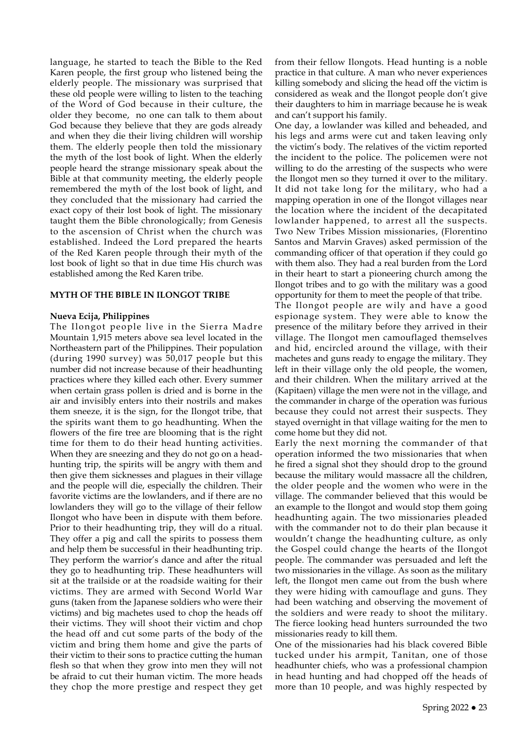language, he started to teach the Bible to the Red Karen people, the first group who listened being the elderly people. The missionary was surprised that these old people were willing to listen to the teaching of the Word of God because in their culture, the older they become, no one can talk to them about God because they believe that they are gods already and when they die their living children will worship them. The elderly people then told the missionary the myth of the lost book of light. When the elderly people heard the strange missionary speak about the Bible at that community meeting, the elderly people remembered the myth of the lost book of light, and they concluded that the missionary had carried the exact copy of their lost book of light. The missionary taught them the Bible chronologically; from Genesis to the ascension of Christ when the church was established. Indeed the Lord prepared the hearts of the Red Karen people through their myth of the lost book of light so that in due time His church was established among the Red Karen tribe.

#### **MYTH OF THE BIBLE IN ILONGOT TRIBE**

#### **Nueva Ecija, Philippines**

The Ilongot people live in the Sierra Madre Mountain 1,915 meters above sea level located in the Northeastern part of the Philippines. Their population (during 1990 survey) was 50,017 people but this number did not increase because of their headhunting practices where they killed each other. Every summer when certain grass pollen is dried and is borne in the air and invisibly enters into their nostrils and makes them sneeze, it is the sign, for the Ilongot tribe, that the spirits want them to go headhunting. When the flowers of the fire tree are blooming that is the right time for them to do their head hunting activities. When they are sneezing and they do not go on a headhunting trip, the spirits will be angry with them and then give them sicknesses and plagues in their village and the people will die, especially the children. Their favorite victims are the lowlanders, and if there are no lowlanders they will go to the village of their fellow Ilongot who have been in dispute with them before. Prior to their headhunting trip, they will do a ritual. They offer a pig and call the spirits to possess them and help them be successful in their headhunting trip. They perform the warrior's dance and after the ritual they go to headhunting trip. These headhunters will sit at the trailside or at the roadside waiting for their victims. They are armed with Second World War guns (taken from the Japanese soldiers who were their victims) and big machetes used to chop the heads off their victims. They will shoot their victim and chop the head off and cut some parts of the body of the victim and bring them home and give the parts of their victim to their sons to practice cutting the human flesh so that when they grow into men they will not be afraid to cut their human victim. The more heads they chop the more prestige and respect they get

from their fellow Ilongots. Head hunting is a noble practice in that culture. A man who never experiences killing somebody and slicing the head off the victim is considered as weak and the Ilongot people don't give their daughters to him in marriage because he is weak and can't support his family.

One day, a lowlander was killed and beheaded, and his legs and arms were cut and taken leaving only the victim's body. The relatives of the victim reported the incident to the police. The policemen were not willing to do the arresting of the suspects who were the Ilongot men so they turned it over to the military. It did not take long for the military, who had a mapping operation in one of the Ilongot villages near the location where the incident of the decapitated lowlander happened, to arrest all the suspects. Two New Tribes Mission missionaries, (Florentino Santos and Marvin Graves) asked permission of the commanding officer of that operation if they could go with them also. They had a real burden from the Lord in their heart to start a pioneering church among the Ilongot tribes and to go with the military was a good opportunity for them to meet the people of that tribe.

The Ilongot people are wily and have a good espionage system. They were able to know the presence of the military before they arrived in their village. The Ilongot men camouflaged themselves and hid, encircled around the village, with their machetes and guns ready to engage the military. They left in their village only the old people, the women, and their children. When the military arrived at the (Kapitaen) village the men were not in the village, and the commander in charge of the operation was furious because they could not arrest their suspects. They stayed overnight in that village waiting for the men to come home but they did not.

Early the next morning the commander of that operation informed the two missionaries that when he fired a signal shot they should drop to the ground because the military would massacre all the children, the older people and the women who were in the village. The commander believed that this would be an example to the Ilongot and would stop them going headhunting again. The two missionaries pleaded with the commander not to do their plan because it wouldn't change the headhunting culture, as only the Gospel could change the hearts of the Ilongot people. The commander was persuaded and left the two missionaries in the village. As soon as the military left, the Ilongot men came out from the bush where they were hiding with camouflage and guns. They had been watching and observing the movement of the soldiers and were ready to shoot the military. The fierce looking head hunters surrounded the two missionaries ready to kill them.

One of the missionaries had his black covered Bible tucked under his armpit, Tanitan, one of those headhunter chiefs, who was a professional champion in head hunting and had chopped off the heads of more than 10 people, and was highly respected by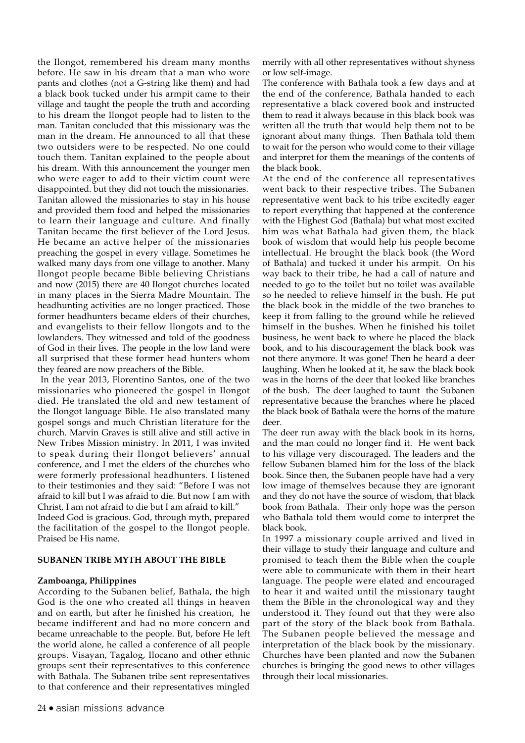the Ilongot, remembered his dream many months before. He saw in his dream that a man who wore pants and clothes (not a G-string like them) and had a black book tucked under his armpit came to their village and taught the people the truth and according to his dream the Ilongot people had to listen to the man. Tanitan concluded that this missionary was the man in the dream. He announced to all that these two outsiders were to be respected. No one could touch them. Tanitan explained to the people about his dream. With this announcement the younger men who were eager to add to their victim count were disappointed. but they did not touch the missionaries. Tanitan allowed the missionaries to stay in his house and provided them food and helped the missionaries to learn their language and culture. And finally Tanitan became the first believer of the Lord Jesus. He became an active helper of the missionaries preaching the gospel in every village. Sometimes he walked many days from one village to another. Many Ilongot people became Bible believing Christians and now (2015) there are 40 Ilongot churches located in many places in the Sierra Madre Mountain. The headhunting activities are no longer practiced. Those former headhunters became elders of their churches, and evangelists to their fellow Ilongots and to the lowlanders. They witnessed and told of the goodness of God in their lives. The people in the low land were all surprised that these former head hunters whom they feared are now preachers of the Bible.

 In the year 2013, Florentino Santos, one of the two missionaries who pioneered the gospel in Ilongot died. He translated the old and new testament of the Ilongot language Bible. He also translated many gospel songs and much Christian literature for the church. Marvin Graves is still alive and still active in New Tribes Mission ministry. In 2011, I was invited to speak during their Ilongot believers' annual conference, and I met the elders of the churches who were formerly professional headhunters. I listened to their testimonies and they said: "Before I was not afraid to kill but I was afraid to die. But now I am with Christ, I am not afraid to die but I am afraid to kill."

Indeed God is gracious. God, through myth, prepared the facilitation of the gospel to the Ilongot people. Praised be His name.

#### **SUBANEN TRIBE MYTH ABOUT THE BIBLE**

#### **Zamboanga, Philippines**

According to the Subanen belief, Bathala, the high God is the one who created all things in heaven and on earth, but after he finished his creation, he became indifferent and had no more concern and became unreachable to the people. But, before He left the world alone, he called a conference of all people groups. Visayan, Tagalog, Ilocano and other ethnic groups sent their representatives to this conference with Bathala. The Subanen tribe sent representatives to that conference and their representatives mingled

merrily with all other representatives without shyness or low self-image.

The conference with Bathala took a few days and at the end of the conference, Bathala handed to each representative a black covered book and instructed them to read it always because in this black book was written all the truth that would help them not to be ignorant about many things. Then Bathala told them to wait for the person who would come to their village and interpret for them the meanings of the contents of the black book.

At the end of the conference all representatives went back to their respective tribes. The Subanen representative went back to his tribe excitedly eager to report everything that happened at the conference with the Highest God (Bathala) but what most excited him was what Bathala had given them, the black book of wisdom that would help his people become intellectual. He brought the black book (the Word of Bathala) and tucked it under his armpit. On his way back to their tribe, he had a call of nature and needed to go to the toilet but no toilet was available so he needed to relieve himself in the bush. He put the black book in the middle of the two branches to keep it from falling to the ground while he relieved himself in the bushes. When he finished his toilet business, he went back to where he placed the black book, and to his discouragement the black book was not there anymore. It was gone! Then he heard a deer laughing. When he looked at it, he saw the black book was in the horns of the deer that looked like branches of the bush. The deer laughed to taunt the Subanen representative because the branches where he placed the black book of Bathala were the horns of the mature deer.

The deer run away with the black book in its horns, and the man could no longer find it. He went back to his village very discouraged. The leaders and the fellow Subanen blamed him for the loss of the black book. Since then, the Subanen people have had a very low image of themselves because they are ignorant and they do not have the source of wisdom, that black book from Bathala. Their only hope was the person who Bathala told them would come to interpret the black book.

In 1997 a missionary couple arrived and lived in their village to study their language and culture and promised to teach them the Bible when the couple were able to communicate with them in their heart language. The people were elated and encouraged to hear it and waited until the missionary taught them the Bible in the chronological way and they understood it. They found out that they were also part of the story of the black book from Bathala. The Subanen people believed the message and interpretation of the black book by the missionary. Churches have been planted and now the Subanen churches is bringing the good news to other villages through their local missionaries.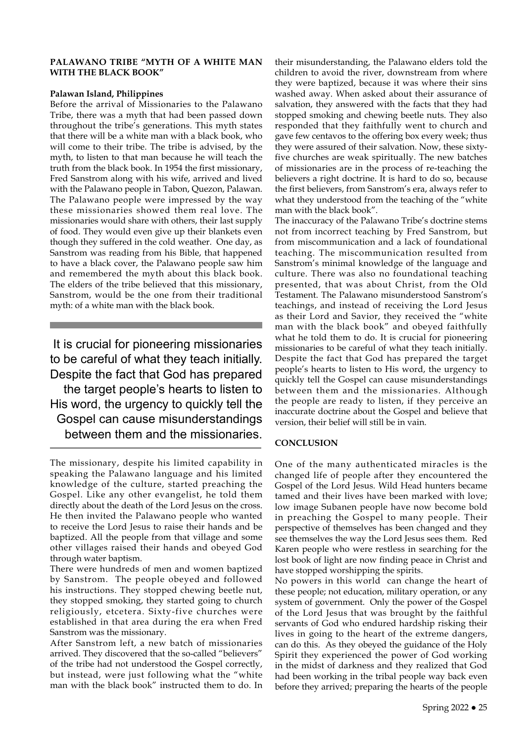#### **PALAWANO TRIBE "MYTH OF A WHITE MAN WITH THE BLACK BOOK"**

### **Palawan Island, Philippines**

Before the arrival of Missionaries to the Palawano Tribe, there was a myth that had been passed down throughout the tribe's generations. This myth states that there will be a white man with a black book, who will come to their tribe. The tribe is advised, by the myth, to listen to that man because he will teach the truth from the black book. In 1954 the first missionary, Fred Sanstrom along with his wife, arrived and lived with the Palawano people in Tabon, Quezon, Palawan. The Palawano people were impressed by the way these missionaries showed them real love. The missionaries would share with others, their last supply of food. They would even give up their blankets even though they suffered in the cold weather. One day, as Sanstrom was reading from his Bible, that happened to have a black cover, the Palawano people saw him and remembered the myth about this black book. The elders of the tribe believed that this missionary, Sanstrom, would be the one from their traditional myth: of a white man with the black book.

It is crucial for pioneering missionaries to be careful of what they teach initially. Despite the fact that God has prepared the target people's hearts to listen to His word, the urgency to quickly tell the Gospel can cause misunderstandings between them and the missionaries.

The missionary, despite his limited capability in speaking the Palawano language and his limited knowledge of the culture, started preaching the Gospel. Like any other evangelist, he told them directly about the death of the Lord Jesus on the cross. He then invited the Palawano people who wanted to receive the Lord Jesus to raise their hands and be baptized. All the people from that village and some other villages raised their hands and obeyed God through water baptism.

There were hundreds of men and women baptized by Sanstrom. The people obeyed and followed his instructions. They stopped chewing beetle nut, they stopped smoking, they started going to church religiously, etcetera. Sixty-five churches were established in that area during the era when Fred Sanstrom was the missionary.

After Sanstrom left, a new batch of missionaries arrived. They discovered that the so-called "believers" of the tribe had not understood the Gospel correctly, but instead, were just following what the "white man with the black book" instructed them to do. In their misunderstanding, the Palawano elders told the children to avoid the river, downstream from where they were baptized, because it was where their sins washed away. When asked about their assurance of salvation, they answered with the facts that they had stopped smoking and chewing beetle nuts. They also responded that they faithfully went to church and gave few centavos to the offering box every week; thus they were assured of their salvation. Now, these sixtyfive churches are weak spiritually. The new batches of missionaries are in the process of re-teaching the believers a right doctrine. It is hard to do so, because the first believers, from Sanstrom's era, always refer to what they understood from the teaching of the "white man with the black book".

The inaccuracy of the Palawano Tribe's doctrine stems not from incorrect teaching by Fred Sanstrom, but from miscommunication and a lack of foundational teaching. The miscommunication resulted from Sanstrom's minimal knowledge of the language and culture. There was also no foundational teaching presented, that was about Christ, from the Old Testament. The Palawano misunderstood Sanstrom's teachings, and instead of receiving the Lord Jesus as their Lord and Savior, they received the "white man with the black book" and obeyed faithfully what he told them to do. It is crucial for pioneering missionaries to be careful of what they teach initially. Despite the fact that God has prepared the target people's hearts to listen to His word, the urgency to quickly tell the Gospel can cause misunderstandings between them and the missionaries. Although the people are ready to listen, if they perceive an inaccurate doctrine about the Gospel and believe that version, their belief will still be in vain.

#### **CONCLUSION**

One of the many authenticated miracles is the changed life of people after they encountered the Gospel of the Lord Jesus. Wild Head hunters became tamed and their lives have been marked with love; low image Subanen people have now become bold in preaching the Gospel to many people. Their perspective of themselves has been changed and they see themselves the way the Lord Jesus sees them. Red Karen people who were restless in searching for the lost book of light are now finding peace in Christ and have stopped worshipping the spirits.

No powers in this world can change the heart of these people; not education, military operation, or any system of government. Only the power of the Gospel of the Lord Jesus that was brought by the faithful servants of God who endured hardship risking their lives in going to the heart of the extreme dangers, can do this. As they obeyed the guidance of the Holy Spirit they experienced the power of God working in the midst of darkness and they realized that God had been working in the tribal people way back even before they arrived; preparing the hearts of the people